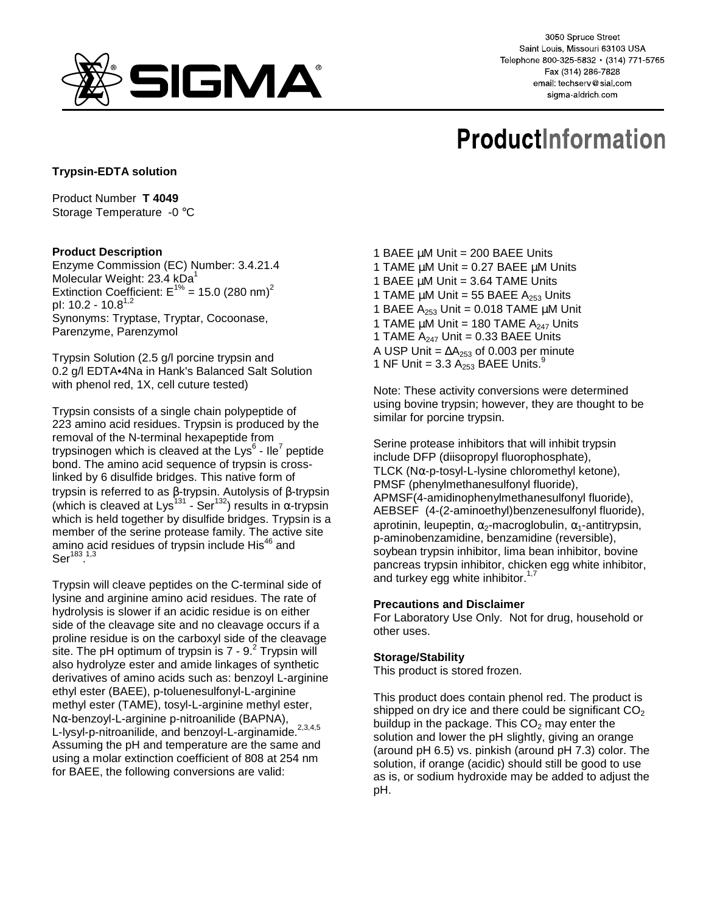

3050 Spruce Street Saint Louis, Missouri 63103 USA Telephone 800-325-5832 · (314) 771-5765 Fax (314) 286-7828 email: techserv@sial.com sigma-aldrich.com

# **ProductInformation**

## **Trypsin-EDTA solution**

Product Number **T 4049** Storage Temperature -0 °C

### **Product Description**

Enzyme Commission (EC) Number: 3.4.21.4 Molecular Weight: 23.4 kDa<sup>1</sup> Extinction Coefficient:  $E^{1\%}$  = 15.0 (280 nm)<sup>2</sup> pl:  $10.2 - 10.8^{1,2}$ Synonyms: Tryptase, Tryptar, Cocoonase, Parenzyme, Parenzymol

Trypsin Solution (2.5 g/l porcine trypsin and 0.2 g/l EDTA•4Na in Hank's Balanced Salt Solution with phenol red, 1X, cell cuture tested)

Trypsin consists of a single chain polypeptide of 223 amino acid residues. Trypsin is produced by the removal of the N-terminal hexapeptide from trypsinogen which is cleaved at the Lys $^6$  - Ile<sup>7</sup> peptide bond. The amino acid sequence of trypsin is crosslinked by 6 disulfide bridges. This native form of trypsin is referred to as β-trypsin. Autolysis of β-trypsin (which is cleaved at Lys<sup>131</sup> - Ser<sup>132</sup>) results in  $\alpha$ -trypsin which is held together by disulfide bridges. Trypsin is a member of the serine protease family. The active site amino acid residues of trypsin include His<sup>46</sup> and  $\mathrm{Ser}^{183,1,3}$ 

Trypsin will cleave peptides on the C-terminal side of lysine and arginine amino acid residues. The rate of hydrolysis is slower if an acidic residue is on either side of the cleavage site and no cleavage occurs if a proline residue is on the carboxyl side of the cleavage site. The pH optimum of trypsin is 7 - 9. $^{2}$  Trypsin will also hydrolyze ester and amide linkages of synthetic derivatives of amino acids such as: benzoyl L-arginine ethyl ester (BAEE), p-toluenesulfonyl-L-arginine methyl ester (TAME), tosyl-L-arginine methyl ester, Nα-benzoyl-L-arginine p-nitroanilide (BAPNA), L-lysyl-p-nitroanilide, and benzoyl-L-arginamide.<sup>2,3,4,5</sup> Assuming the pH and temperature are the same and using a molar extinction coefficient of 808 at 254 nm for BAEE, the following conversions are valid:

1 BAEE µM Unit = 200 BAEE Units 1 TAME  $\mu$ M Unit = 0.27 BAEE  $\mu$ M Units 1 BAEE  $\mu$ M Unit = 3.64 TAME Units 1 TAME  $\mu$ M Unit = 55 BAEE A<sub>253</sub> Units 1 BAEE  $A_{253}$  Unit = 0.018 TAME  $\mu$ M Unit 1 TAME  $\mu$ M Unit = 180 TAME A<sub>247</sub> Units 1 TAME  $A_{247}$  Unit = 0.33 BAEE Units A USP Unit =  $\Delta A_{253}$  of 0.003 per minute 1 NF Unit =  $3.3$   $A_{253}$  BAEE Units.<sup>9</sup>

Note: These activity conversions were determined using bovine trypsin; however, they are thought to be similar for porcine trypsin.

Serine protease inhibitors that will inhibit trypsin include DFP (diisopropyl fluorophosphate), TLCK (N $\alpha$ -p-tosyl-L-lysine chloromethyl ketone), PMSF (phenylmethanesulfonyl fluoride), APMSF(4-amidinophenylmethanesulfonyl fluoride), AEBSEF (4-(2-aminoethyl)benzenesulfonyl fluoride), aprotinin, leupeptin,  $\alpha_2$ -macroglobulin,  $\alpha_1$ -antitrypsin, p-aminobenzamidine, benzamidine (reversible), soybean trypsin inhibitor, lima bean inhibitor, bovine pancreas trypsin inhibitor, chicken egg white inhibitor, and turkey egg white inhibitor.<sup>1,7</sup>

### **Precautions and Disclaimer**

For Laboratory Use Only. Not for drug, household or other uses.

### **Storage/Stability**

This product is stored frozen.

This product does contain phenol red. The product is shipped on dry ice and there could be significant  $CO<sub>2</sub>$ buildup in the package. This  $CO<sub>2</sub>$  may enter the solution and lower the pH slightly, giving an orange (around pH 6.5) vs. pinkish (around pH 7.3) color. The solution, if orange (acidic) should still be good to use as is, or sodium hydroxide may be added to adjust the pH.